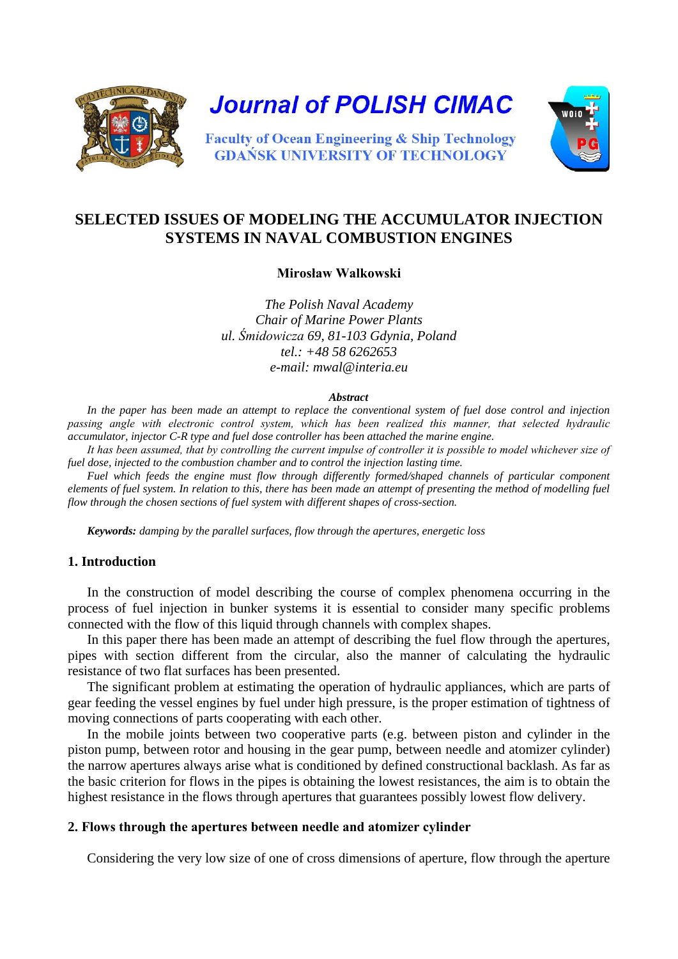

**Journal of POLISH CIMAC** 



**Faculty of Ocean Engineering & Ship Technology GDAŃSK UNIVERSITY OF TECHNOLOGY** 

# **SELECTED ISSUES OF MODELING THE ACCUMULATOR INJECTION SYSTEMS IN NAVAL COMBUSTION ENGINES**

**Mirosław Walkowski**

*The Polish Naval Academy Chair of Marine Power Plants ul. Śmidowicza 69, 81-103 Gdynia, Poland tel.: +48 58 6262653 e-mail: mwal@interia.eu* 

#### *Abstract*

*In the paper has been made an attempt to replace the conventional system of fuel dose control and injection passing angle with electronic control system, which has been realized this manner, that selected hydraulic accumulator, injector C-R type and fuel dose controller has been attached the marine engine.* 

*It has been assumed, that by controlling the current impulse of controller it is possible to model whichever size of fuel dose, injected to the combustion chamber and to control the injection lasting time.*

*Fuel which feeds the engine must flow through differently formed/shaped channels of particular component elements of fuel system. In relation to this, there has been made an attempt of presenting the method of modelling fuel flow through the chosen sections of fuel system with different shapes of cross-section.* 

*Keywords: damping by the parallel surfaces, flow through the apertures, energetic loss*

## **1. Introduction**

In the construction of model describing the course of complex phenomena occurring in the process of fuel injection in bunker systems it is essential to consider many specific problems connected with the flow of this liquid through channels with complex shapes.

In this paper there has been made an attempt of describing the fuel flow through the apertures, pipes with section different from the circular, also the manner of calculating the hydraulic resistance of two flat surfaces has been presented.

The significant problem at estimating the operation of hydraulic appliances, which are parts of gear feeding the vessel engines by fuel under high pressure, is the proper estimation of tightness of moving connections of parts cooperating with each other.

In the mobile joints between two cooperative parts (e.g. between piston and cylinder in the piston pump, between rotor and housing in the gear pump, between needle and atomizer cylinder) the narrow apertures always arise what is conditioned by defined constructional backlash. As far as the basic criterion for flows in the pipes is obtaining the lowest resistances, the aim is to obtain the highest resistance in the flows through apertures that guarantees possibly lowest flow delivery.

### **2. Flows through the apertures between needle and atomizer cylinder**

Considering the very low size of one of cross dimensions of aperture, flow through the aperture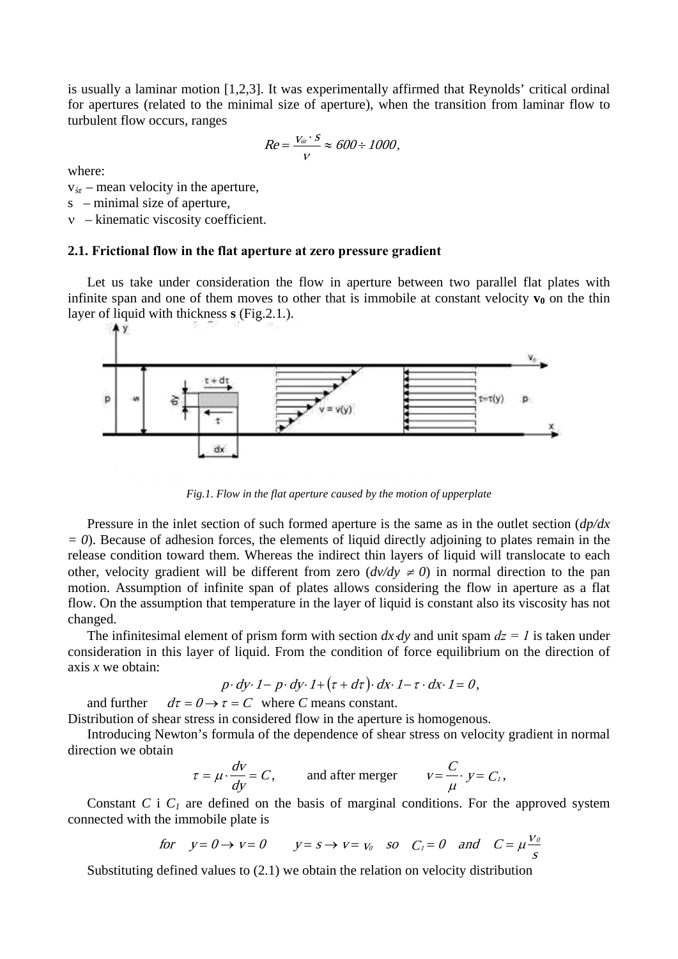is usually a laminar motion [1,2,3]. It was experimentally affirmed that Reynolds' critical ordinal for apertures (related to the minimal size of aperture), when the transition from laminar flow to turbulent flow occurs, ranges

$$
Re = \frac{V_{\text{dir}} \cdot S}{V} \approx 600 \div 1000,
$$

where:

 $v_{\text{sr}}$  – mean velocity in the aperture,

s – minimal size of aperture,

ν – kinematic viscosity coefficient.

### **2.1. Frictional flow in the flat aperture at zero pressure gradient**

Let us take under consideration the flow in aperture between two parallel flat plates with infinite span and one of them moves to other that is immobile at constant velocity  $\mathbf{v}_0$  on the thin layer of liquid with thickness **s** (Fig.2.1.).



*Fig.1. Flow in the flat aperture caused by the motion of upperplate*

Pressure in the inlet section of such formed aperture is the same as in the outlet section (*dp/dx*   $= 0$ ). Because of adhesion forces, the elements of liquid directly adjoining to plates remain in the release condition toward them. Whereas the indirect thin layers of liquid will translocate to each other, velocity gradient will be different from zero  $\left(\frac{dv}{dy} \neq 0\right)$  in normal direction to the pan motion. Assumption of infinite span of plates allows considering the flow in aperture as a flat flow. On the assumption that temperature in the layer of liquid is constant also its viscosity has not changed.

The infinitesimal element of prism form with section  $dx \, dy$  and unit spam  $dz = 1$  is taken under consideration in this layer of liquid. From the condition of force equilibrium on the direction of axis *x* we obtain:

$$
p \cdot dy \cdot 1 - p \cdot dy \cdot 1 + (\tau + d\tau) \cdot dx \cdot 1 - \tau \cdot dx \cdot 1 = 0,
$$

and further  $d\tau = 0 \rightarrow \tau = C$  where *C* means constant.

Distribution of shear stress in considered flow in the aperture is homogenous.

Introducing Newton's formula of the dependence of shear stress on velocity gradient in normal direction we obtain

$$
\tau = \mu \cdot \frac{dv}{dy} = C
$$
, and after merger  $v = \frac{C}{\mu} \cdot y = C_1$ ,

Constant *C* i  $C<sub>1</sub>$  are defined on the basis of marginal conditions. For the approved system connected with the immobile plate is

for 
$$
y=0 \rightarrow v=0
$$
  $y=s \rightarrow v=v_0$  so  $C_1=0$  and  $C=\mu \frac{v_0}{s}$ 

Substituting defined values to (2.1) we obtain the relation on velocity distribution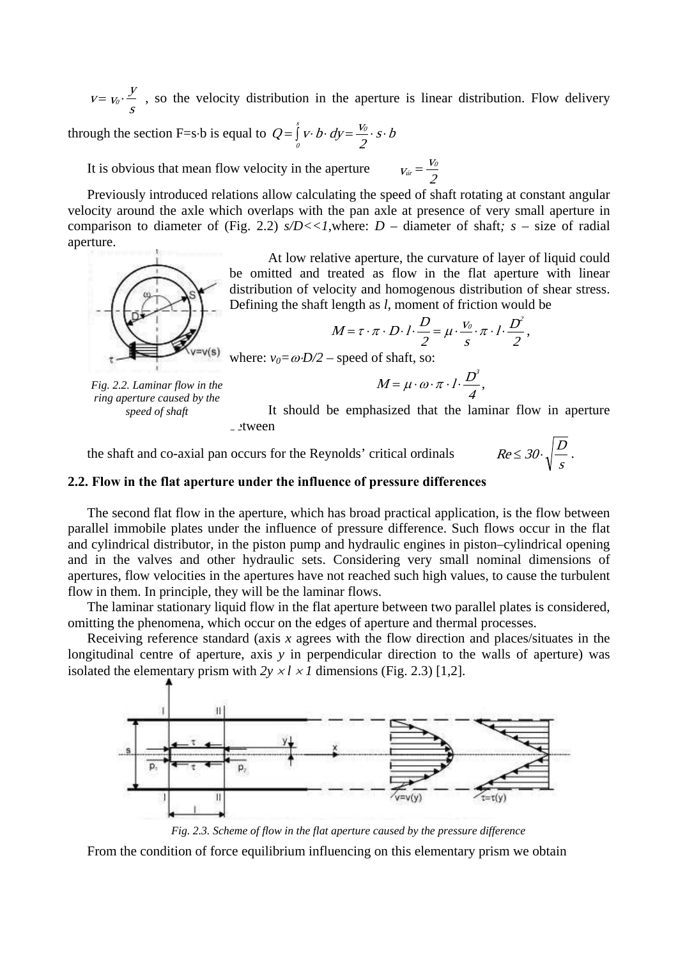$v = v_0 \cdot \frac{y}{s}$ , so the velocity distribution in the aperture is linear distribution. Flow delivery

through the section F=s⋅b is equal to  $Q = \int_{0}^{s} v \cdot b \cdot dy = \frac{V_0}{2} \cdot s \cdot b$ 

It is obvious that mean flow velocity in the aperture  $V_{\text{vir}} = \frac{V_0}{2}$ 

Previously introduced relations allow calculating the speed of shaft rotating at constant angular velocity around the axle which overlaps with the pan axle at presence of very small aperture in comparison to diameter of (Fig. 2.2)  $s/D \ll 1$ , where:  $D$  – diameter of shaft;  $s$  – size of radial aperture.

> At low relative aperture, the curvature of layer of liquid could be omitted and treated as flow in the flat aperture with linear distribution of velocity and homogenous distribution of shear stress. Defining the shaft length as *l*, moment of friction would be

$$
M = \tau \cdot \pi \cdot D \cdot l \cdot \frac{D}{2} = \mu \cdot \frac{v_0}{s} \cdot \pi \cdot l \cdot \frac{D^2}{2},
$$

where:  $v_0 = \omega \cdot D/2$  – speed of shaft, so:

*Fig. 2.2. Laminar flow in the ring aperture caused by the speed of shaft*

 $v = v(s)$ 

It should be emphasized that the laminar flow in aperture  $\cup$ tween

 $M = \mu \cdot \omega \cdot \pi \cdot l \cdot \frac{D^3}{l},$ 

4

 $Re \leq 30 \cdot \sqrt{\frac{D}{s}}$ .

the shaft and co-axial pan occurs for the Reynolds' critical ordinals

## **2.2. Flow in the flat aperture under the influence of pressure differences**

The second flat flow in the aperture, which has broad practical application, is the flow between parallel immobile plates under the influence of pressure difference. Such flows occur in the flat and cylindrical distributor, in the piston pump and hydraulic engines in piston–cylindrical opening and in the valves and other hydraulic sets. Considering very small nominal dimensions of apertures, flow velocities in the apertures have not reached such high values, to cause the turbulent flow in them. In principle, they will be the laminar flows.

The laminar stationary liquid flow in the flat aperture between two parallel plates is considered, omitting the phenomena, which occur on the edges of aperture and thermal processes.

Receiving reference standard (axis *x* agrees with the flow direction and places/situates in the longitudinal centre of aperture, axis *y* in perpendicular direction to the walls of aperture) was isolated the elementary prism with  $2y \times l \times l$  dimensions (Fig. 2.3) [1.2].



*Fig. 2.3. Scheme of flow in the flat aperture caused by the pressure difference*

From the condition of force equilibrium influencing on this elementary prism we obtain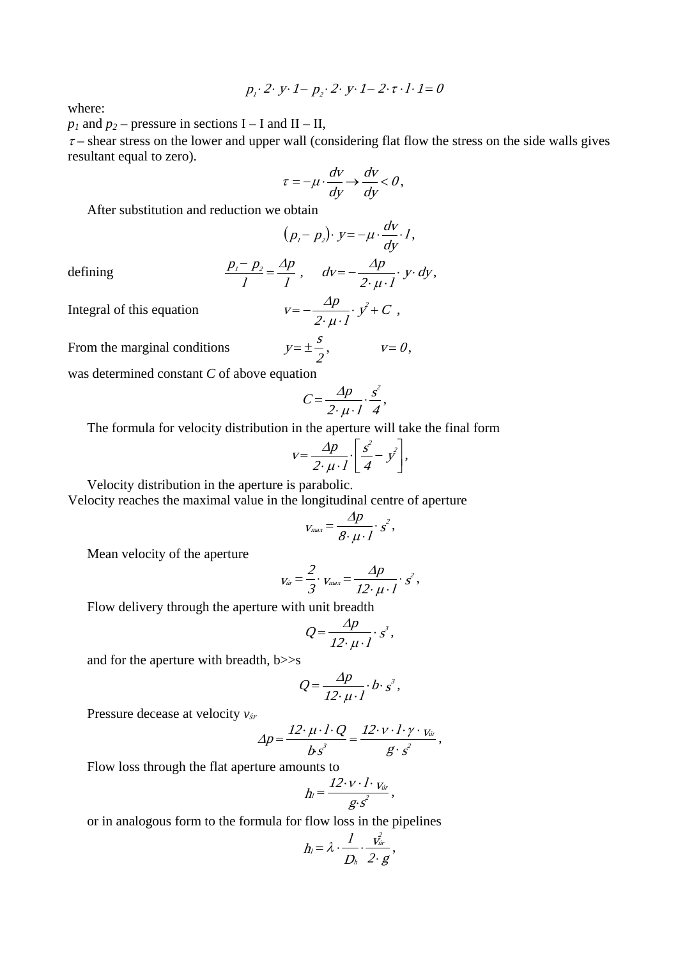$$
p_i \cdot 2 \cdot y \cdot 1 - p_2 \cdot 2 \cdot y \cdot 1 - 2 \cdot \tau \cdot 1 \cdot 1 = 0
$$

where:

 $p_1$  and  $p_2$  – pressure in sections I – I and II – II,

 $\tau$  – shear stress on the lower and upper wall (considering flat flow the stress on the side walls gives resultant equal to zero).

$$
\tau = -\mu \cdot \frac{dv}{dy} \rightarrow \frac{dv}{dy} < 0,
$$

After substitution and reduction we obtain

$$
(p_i-p_2)\cdot y=-\mu\cdot\frac{dv}{dy}\cdot I,
$$

defining

$$
\frac{p_1-p_2}{l}=\frac{\Delta p}{l}\,,\quad dv=-\frac{\Delta p}{2\cdot\mu\cdot l}\cdot y\cdot dy\,,
$$

Integral of this equation  $V$ 

$$
v = -\frac{\Delta p}{2 \cdot \mu \cdot I} \cdot y^2 + C \ ,
$$

From the marginal conditions  $y = \pm \frac{s}{\epsilon}, \qquad v = 0,$ 

was determined constant *C* of above equation

$$
C = \frac{\Delta p}{2 \cdot \mu \cdot l} \cdot \frac{s^2}{4},
$$

The formula for velocity distribution in the aperture will take the final form

$$
v = \frac{\Delta p}{2 \cdot \mu \cdot l} \cdot \left[ \frac{s^2}{4} - y^2 \right],
$$

Velocity distribution in the aperture is parabolic.

Velocity reaches the maximal value in the longitudinal centre of aperture

$$
V_{max} = \frac{\Delta p}{8 \cdot \mu \cdot l} \cdot s^2,
$$

Mean velocity of the aperture

$$
v_{\text{dr}} = \frac{2}{3} \cdot v_{\text{max}} = \frac{\Delta p}{12 \cdot \mu \cdot l} \cdot s^2,
$$

Flow delivery through the aperture with unit breadth

$$
Q = \frac{\Delta p}{12 \cdot \mu \cdot l} \cdot s^3,
$$

and for the aperture with breadth, b>>s

$$
Q = \frac{\Delta p}{12 \cdot \mu \cdot l} \cdot b \cdot s^{3},
$$

Pressure decease at velocity *vśr*

$$
\varDelta p = \frac{12 \cdot \mu \cdot l \cdot Q}{b s^3} = \frac{12 \cdot v \cdot l \cdot \gamma \cdot v_{\text{tr}}}{g \cdot s^2},
$$

Flow loss through the flat aperture amounts to

$$
h_l = \frac{12 \cdot v \cdot l \cdot v_{\text{dr}}}{g \cdot s^2},
$$

or in analogous form to the formula for flow loss in the pipelines

$$
h_l = \lambda \cdot \frac{1}{D_h} \cdot \frac{v_{\text{dir}}^2}{2 \cdot g},
$$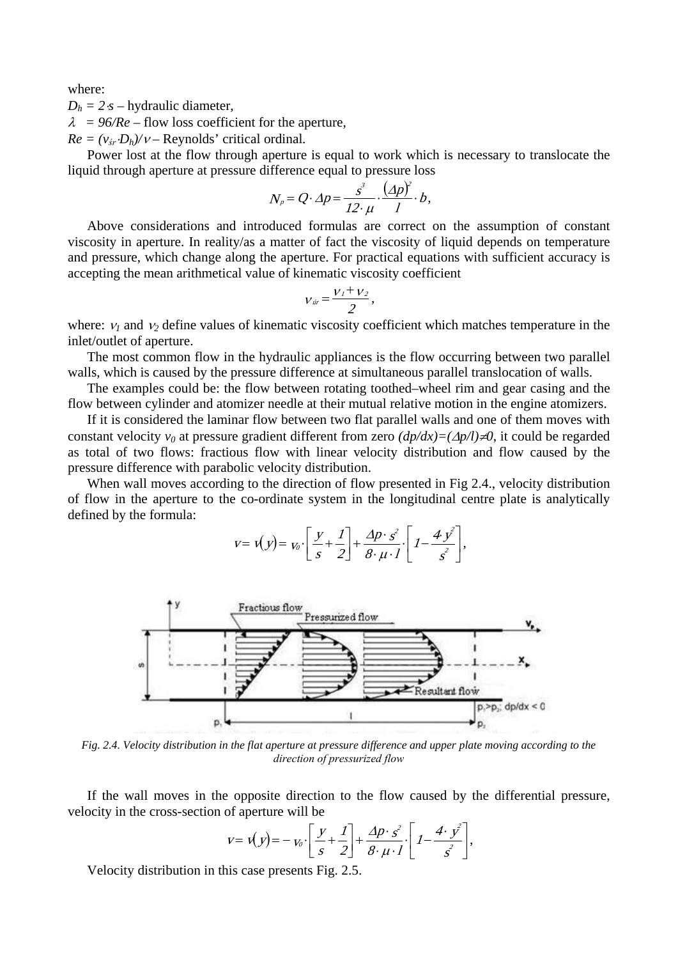where:

 $D_h = 2 \cdot s$  – hydraulic diameter,

λ *= 96/Re* – flow loss coefficient for the aperture*,*

 $Re = (v_{\text{sr}} \cdot D_h)/v$  – Reynolds' critical ordinal.

Power lost at the flow through aperture is equal to work which is necessary to translocate the liquid through aperture at pressure difference equal to pressure loss

$$
N_p = Q \cdot \Delta p = \frac{s^3}{12 \cdot \mu} \cdot \frac{(\Delta p)^2}{I} \cdot b,
$$

Above considerations and introduced formulas are correct on the assumption of constant viscosity in aperture. In reality/as a matter of fact the viscosity of liquid depends on temperature and pressure, which change along the aperture. For practical equations with sufficient accuracy is accepting the mean arithmetical value of kinematic viscosity coefficient

$$
v_{\text{vir}} = \frac{v_1 + v_2}{2},
$$

where:  $v_1$  and  $v_2$  define values of kinematic viscosity coefficient which matches temperature in the inlet/outlet of aperture.

The most common flow in the hydraulic appliances is the flow occurring between two parallel walls, which is caused by the pressure difference at simultaneous parallel translocation of walls.

The examples could be: the flow between rotating toothed–wheel rim and gear casing and the flow between cylinder and atomizer needle at their mutual relative motion in the engine atomizers.

If it is considered the laminar flow between two flat parallel walls and one of them moves with constant velocity *v0* at pressure gradient different from zero *(dp/dx)=(*∆*p/l)*≠*0*, it could be regarded as total of two flows: fractious flow with linear velocity distribution and flow caused by the pressure difference with parabolic velocity distribution.

When wall moves according to the direction of flow presented in Fig 2.4., velocity distribution of flow in the aperture to the co-ordinate system in the longitudinal centre plate is analytically defined by the formula:

$$
v = v(y) = v_0 \cdot \left[ \frac{y}{s} + \frac{1}{2} \right] + \frac{\Delta p \cdot s^2}{8 \cdot \mu \cdot l} \cdot \left[ 1 - \frac{4 y^2}{s^2} \right],
$$



*Fig. 2.4. Velocity distribution in the flat aperture at pressure difference and upper plate moving according to the direction of pressurized flow*

If the wall moves in the opposite direction to the flow caused by the differential pressure, velocity in the cross-section of aperture will be

$$
v = v(y) = -v_0 \cdot \left[ \frac{y}{s} + \frac{1}{2} \right] + \frac{\Delta p \cdot s^2}{8 \cdot \mu \cdot l} \cdot \left[ 1 - \frac{4 \cdot y^2}{s^2} \right],
$$

Velocity distribution in this case presents Fig. 2.5.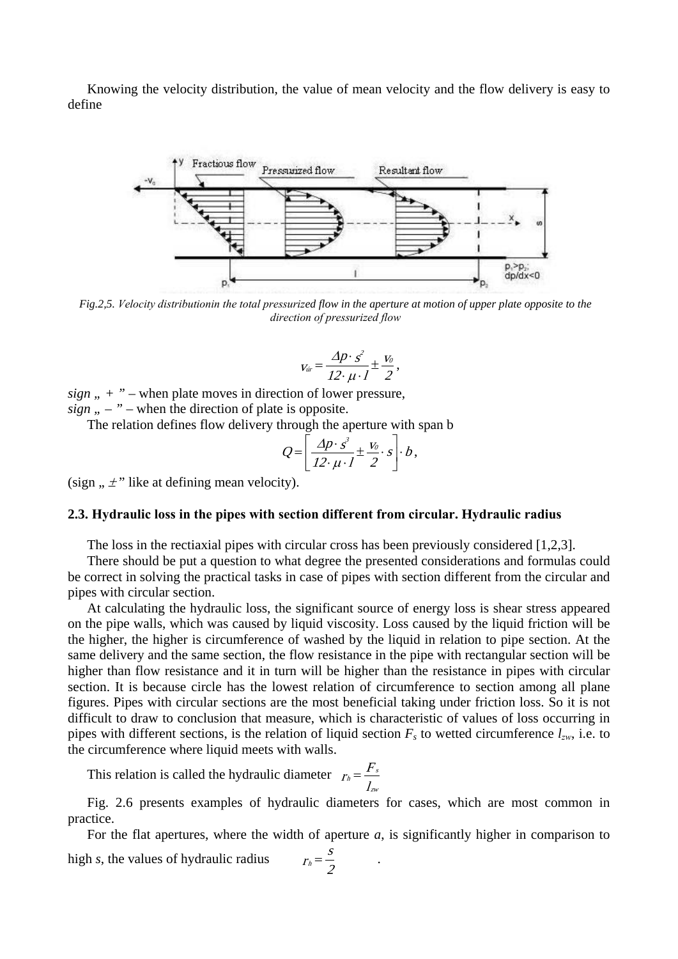Knowing the velocity distribution, the value of mean velocity and the flow delivery is easy to define



*Fig.2,5. Velocity distributionin the total pressurized flow in the aperture at motion of upper plate opposite to the direction of pressurized flow*

$$
v_{\text{tr}} = \frac{\Delta p \cdot s^2}{12 \cdot \mu \cdot l} \pm \frac{v_0}{2},
$$

 $sign$ ,  $+$  " – when plate moves in direction of lower pressure,  $sign, -$  " – when the direction of plate is opposite.

The relation defines flow delivery through the aperture with span b

$$
Q = \left[ \frac{\Delta p \cdot s^3}{12 \cdot \mu \cdot l} \pm \frac{v_0}{2} \cdot s \right] \cdot b,
$$

(sign  $\ldots \neq$ " like at defining mean velocity).

### **2.3. Hydraulic loss in the pipes with section different from circular. Hydraulic radius**

The loss in the rectiaxial pipes with circular cross has been previously considered [1,2,3].

There should be put a question to what degree the presented considerations and formulas could be correct in solving the practical tasks in case of pipes with section different from the circular and pipes with circular section.

At calculating the hydraulic loss, the significant source of energy loss is shear stress appeared on the pipe walls, which was caused by liquid viscosity. Loss caused by the liquid friction will be the higher, the higher is circumference of washed by the liquid in relation to pipe section. At the same delivery and the same section, the flow resistance in the pipe with rectangular section will be higher than flow resistance and it in turn will be higher than the resistance in pipes with circular section. It is because circle has the lowest relation of circumference to section among all plane figures. Pipes with circular sections are the most beneficial taking under friction loss. So it is not difficult to draw to conclusion that measure, which is characteristic of values of loss occurring in pipes with different sections, is the relation of liquid section  $F_s$  to wetted circumference  $l_{zw}$ , i.e. to the circumference where liquid meets with walls.

This relation is called the hydraulic diameter l  $r_h = \frac{F}{\sqrt{2}}$ zw  $s_h = \frac{I's}{I}$ 

Fig. 2.6 presents examples of hydraulic diameters for cases, which are most common in practice.

For the flat apertures, where the width of aperture *a*, is significantly higher in comparison to high *s*, the values of hydraulic radius  $r_h = \frac{s}{s}$  .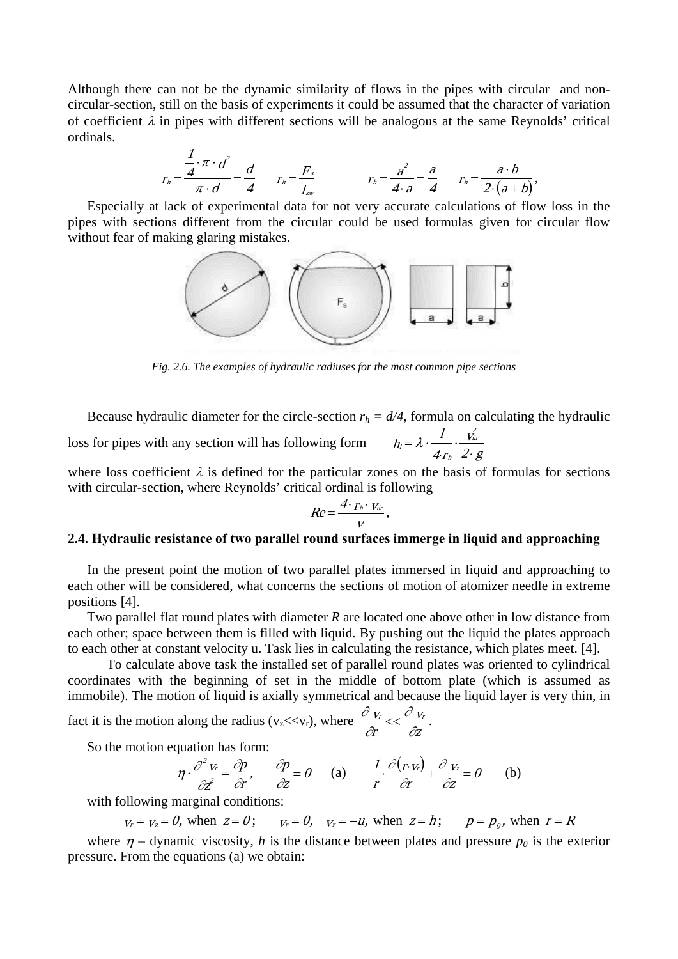Although there can not be the dynamic similarity of flows in the pipes with circular and noncircular-section, still on the basis of experiments it could be assumed that the character of variation of coefficient  $\lambda$  in pipes with different sections will be analogous at the same Reynolds' critical ordinals.

$$
r_h = \frac{\frac{1}{4} \cdot \pi \cdot d^2}{\pi \cdot d} = \frac{d}{4} \qquad r_h = \frac{F_s}{I_{zw}} \qquad r_h = \frac{a^2}{4 \cdot a} = \frac{a}{4} \qquad r_h = \frac{a \cdot b}{2 \cdot (a+b)},
$$

Especially at lack of experimental data for not very accurate calculations of flow loss in the pipes with sections different from the circular could be used formulas given for circular flow without fear of making glaring mistakes.



*Fig. 2.6. The examples of hydraulic radiuses for the most common pipe sections*

Because hydraulic diameter for the circle-section  $r_h = d/4$ , formula on calculating the hydraulic loss for pipes with any section will has following form v  $4r$ l h 2 úr h  $b_l = \lambda \cdot \frac{1}{4 r_h} \cdot \frac{v_{\text{dir}}}{2 \cdot g}$ 

where loss coefficient  $\lambda$  is defined for the particular zones on the basis of formulas for sections with circular-section, where Reynolds' critical ordinal is following

$$
Re=\frac{4\cdot r_h\cdot v_{\text{dir}}}{V},
$$

## **2.4. Hydraulic resistance of two parallel round surfaces immerge in liquid and approaching**

In the present point the motion of two parallel plates immersed in liquid and approaching to each other will be considered, what concerns the sections of motion of atomizer needle in extreme positions [4].

Two parallel flat round plates with diameter *R* are located one above other in low distance from each other; space between them is filled with liquid. By pushing out the liquid the plates approach to each other at constant velocity u. Task lies in calculating the resistance, which plates meet. [4].

To calculate above task the installed set of parallel round plates was oriented to cylindrical coordinates with the beginning of set in the middle of bottom plate (which is assumed as immobile). The motion of liquid is axially symmetrical and because the liquid layer is very thin, in

fact it is the motion along the radius (v<sub>z</sub><<v<sub>r</sub>), where  $\frac{\partial v_r}{\partial r} \ll \frac{\partial v_r}{\partial z}$ v r  $V_r$   $U_V$ ∂ ∂ ∂  $\frac{\partial v_r}{\partial t}$  <<  $\frac{\partial v_r}{\partial t}$ .

So the motion equation has form:

$$
\eta \cdot \frac{\partial^2 v_r}{\partial z^2} = \frac{\partial p}{\partial r}, \qquad \frac{\partial p}{\partial z} = 0 \qquad \text{(a)} \qquad \frac{1}{r} \cdot \frac{\partial (r \cdot v_r)}{\partial r} + \frac{\partial v_z}{\partial z} = 0 \qquad \text{(b)}
$$

with following marginal conditions:

 $v_r = v_z = 0$ , when  $z = 0$ ;  $v_r = 0$ ,  $v_z = -u$ , when  $z = h$ ;  $p = p_0$ , when  $r = R$ 

where  $\eta$  – dynamic viscosity, h is the distance between plates and pressure  $p_0$  is the exterior pressure. From the equations (a) we obtain: